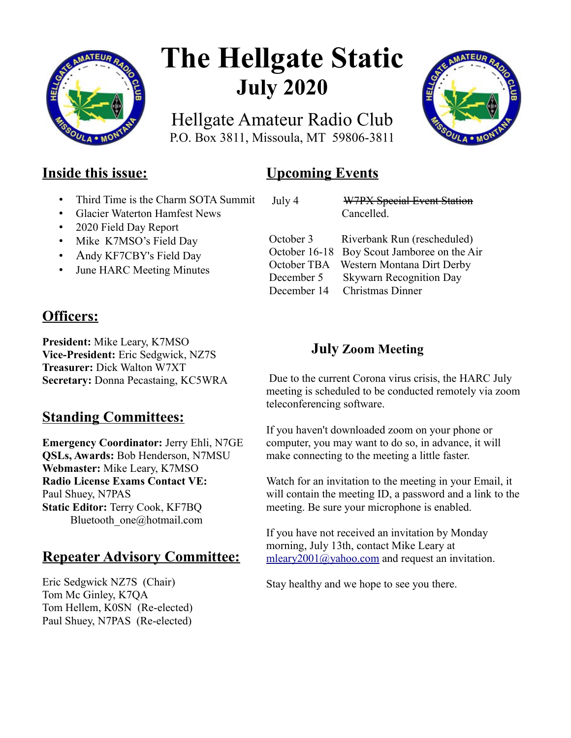

# **The Hellgate Static July 2020**

Hellgate Amateur Radio Club P.O. Box 3811, Missoula, MT 59806-3811



## **Inside this issue:**

- Third Time is the Charm SOTA Summit
- Glacier Waterton Hamfest News
- 2020 Field Day Report
- Mike K7MSO's Field Day
- Andy KF7CBY's Field Day
- June HARC Meeting Minutes

## **Officers:**

**President:** Mike Leary, K7MSO **Vice-President:** Eric Sedgwick, NZ7S **Treasurer:** Dick Walton W7XT **Secretary:** Donna Pecastaing, KC5WRA

# **Standing Committees:**

**Emergency Coordinator:** Jerry Ehli, N7GE **QSLs, Awards:** Bob Henderson, N7MSU **Webmaster:** Mike Leary, K7MSO **Radio License Exams Contact VE:** Paul Shuey, N7PAS **Static Editor:** Terry Cook, KF7BQ Bluetooth\_one@hotmail.com

## **Repeater Advisory Committee:**

Eric Sedgwick NZ7S (Chair) Tom Mc Ginley, K7QA Tom Hellem, K0SN (Re-elected) Paul Shuey, N7PAS (Re-elected)

# **Upcoming Events**

 July 4 W7PX Special Event Station Cancelled.

 October 3 Riverbank Run (rescheduled) October 16-18 Boy Scout Jamboree on the Air October TBA Western Montana Dirt Derby December 5 Skywarn Recognition Day December 14 Christmas Dinner

## **July Zoom Meeting**

 Due to the current Corona virus crisis, the HARC July meeting is scheduled to be conducted remotely via zoom teleconferencing software.

If you haven't downloaded zoom on your phone or computer, you may want to do so, in advance, it will make connecting to the meeting a little faster.

Watch for an invitation to the meeting in your Email, it will contain the meeting ID, a password and a link to the meeting. Be sure your microphone is enabled.

If you have not received an invitation by Monday morning, July 13th, contact Mike Leary at [mleary2001@yahoo.com](mailto:mleary2001@yahoo.com) and request an invitation.

Stay healthy and we hope to see you there.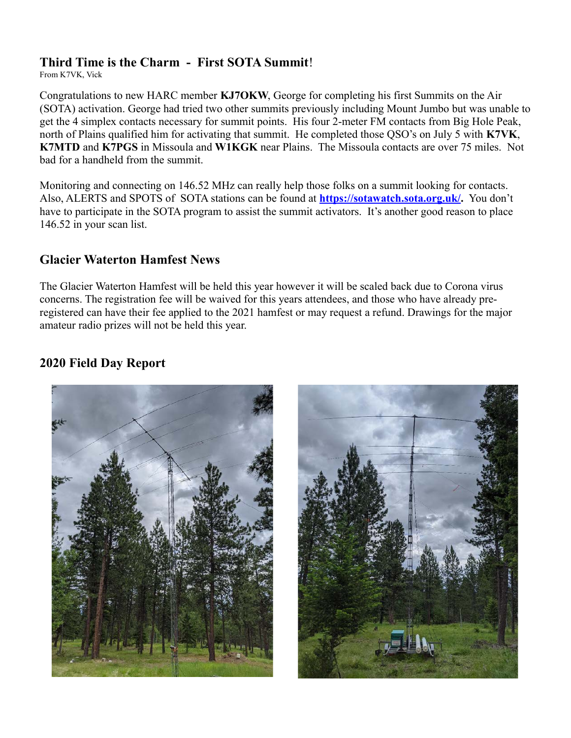#### **Third Time is the Charm - First SOTA Summit**!

From K7VK, Vick

Congratulations to new HARC member **KJ7OKW**, George for completing his first Summits on the Air (SOTA) activation. George had tried two other summits previously including Mount Jumbo but was unable to get the 4 simplex contacts necessary for summit points. His four 2-meter FM contacts from Big Hole Peak, north of Plains qualified him for activating that summit. He completed those QSO's on July 5 with **K7VK**, **K7MTD** and **K7PGS** in Missoula and **W1KGK** near Plains. The Missoula contacts are over 75 miles. Not bad for a handheld from the summit.

Monitoring and connecting on 146.52 MHz can really help those folks on a summit looking for contacts. Also, ALERTS and SPOTS of SOTA stations can be found at **[https://sotawatch.sota.org.uk/.](https://sotawatch.sota.org.uk/)** You don't have to participate in the SOTA program to assist the summit activators. It's another good reason to place 146.52 in your scan list.

### **Glacier Waterton Hamfest News**

The Glacier Waterton Hamfest will be held this year however it will be scaled back due to Corona virus concerns. The registration fee will be waived for this years attendees, and those who have already preregistered can have their fee applied to the 2021 hamfest or may request a refund. Drawings for the major amateur radio prizes will not be held this year.

## **2020 Field Day Report**



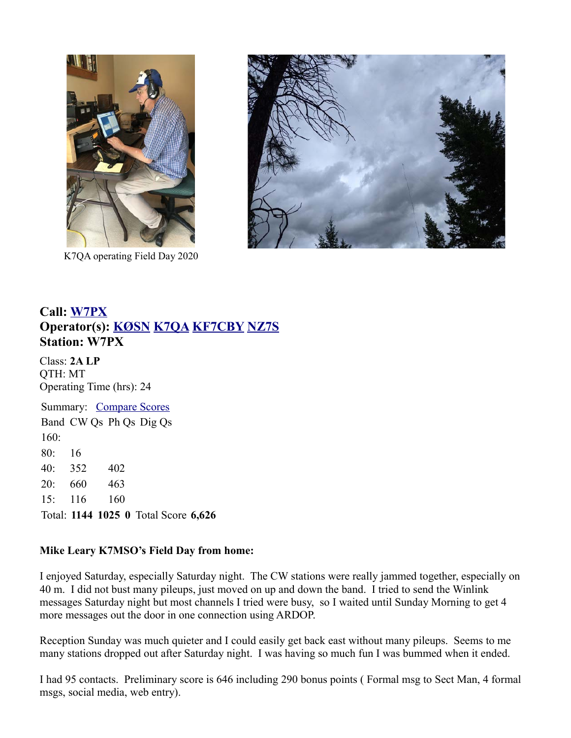

K7QA operating Field Day 2020



## **Call: [W7PX](https://3830scores.com/findcall.php?call=W7PX) Operator(s): [KØSN](https://3830scores.com/findcall.php?call=K0SN) [K7QA](https://3830scores.com/findcall.php?call=K7QA) [KF7CBY](https://3830scores.com/findcall.php?call=KF7CBY) [NZ7S](https://3830scores.com/findcall.php?call=NZ7S) Station: W7PX**

Class: **2A LP** QTH: MT Operating Time (hrs): 24

Summary: [Compare Scores](https://3830scores.com/comparescores.php?arg=Hecva9zJmsaab&call=W7PX) Band CW Qs Ph Qs Dig Qs 160: 80: 16 40: 352 402 20: 660 463 15: 116 160 Total: **1144 1025 0** Total Score **6,626**

#### **Mike Leary K7MSO's Field Day from home:**

I enjoyed Saturday, especially Saturday night. The CW stations were really jammed together, especially on 40 m. I did not bust many pileups, just moved on up and down the band. I tried to send the Winlink messages Saturday night but most channels I tried were busy, so I waited until Sunday Morning to get 4 more messages out the door in one connection using ARDOP.

Reception Sunday was much quieter and I could easily get back east without many pileups. Seems to me many stations dropped out after Saturday night. I was having so much fun I was bummed when it ended.

I had 95 contacts. Preliminary score is 646 including 290 bonus points ( Formal msg to Sect Man, 4 formal msgs, social media, web entry).